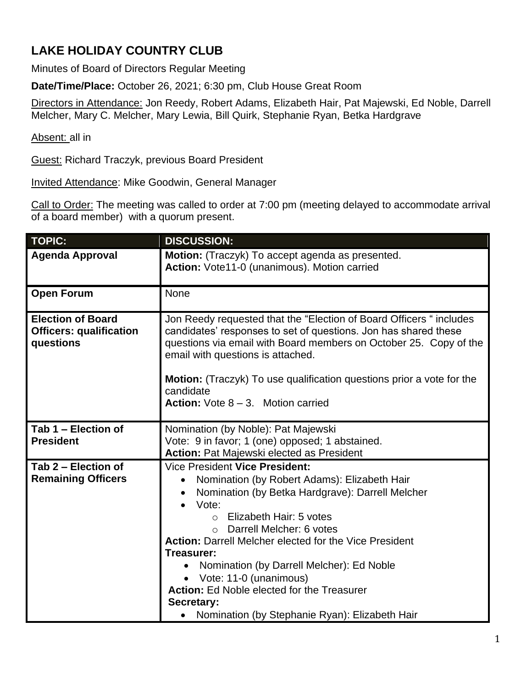## **LAKE HOLIDAY COUNTRY CLUB**

Minutes of Board of Directors Regular Meeting

**Date/Time/Place:** October 26, 2021; 6:30 pm, Club House Great Room

Directors in Attendance: Jon Reedy, Robert Adams, Elizabeth Hair, Pat Majewski, Ed Noble, Darrell Melcher, Mary C. Melcher, Mary Lewia, Bill Quirk, Stephanie Ryan, Betka Hardgrave

Absent: all in

Guest: Richard Traczyk, previous Board President

Invited Attendance: Mike Goodwin, General Manager

Call to Order: The meeting was called to order at 7:00 pm (meeting delayed to accommodate arrival of a board member) with a quorum present.

| <b>TOPIC:</b>                                                           | <b>DISCUSSION:</b>                                                                                                                                                                                                                                                                                                                                                                                                                                                                                                       |
|-------------------------------------------------------------------------|--------------------------------------------------------------------------------------------------------------------------------------------------------------------------------------------------------------------------------------------------------------------------------------------------------------------------------------------------------------------------------------------------------------------------------------------------------------------------------------------------------------------------|
| <b>Agenda Approval</b>                                                  | Motion: (Traczyk) To accept agenda as presented.<br>Action: Vote11-0 (unanimous). Motion carried                                                                                                                                                                                                                                                                                                                                                                                                                         |
| <b>Open Forum</b>                                                       | <b>None</b>                                                                                                                                                                                                                                                                                                                                                                                                                                                                                                              |
| <b>Election of Board</b><br><b>Officers: qualification</b><br>questions | Jon Reedy requested that the "Election of Board Officers " includes<br>candidates' responses to set of questions. Jon has shared these<br>questions via email with Board members on October 25. Copy of the<br>email with questions is attached.<br><b>Motion:</b> (Traczyk) To use qualification questions prior a vote for the<br>candidate<br><b>Action:</b> Vote $8 - 3$ . Motion carried                                                                                                                            |
| Tab 1 - Election of<br><b>President</b>                                 | Nomination (by Noble): Pat Majewski<br>Vote: 9 in favor; 1 (one) opposed; 1 abstained.<br><b>Action: Pat Majewski elected as President</b>                                                                                                                                                                                                                                                                                                                                                                               |
| Tab 2 - Election of<br><b>Remaining Officers</b>                        | Vice President Vice President:<br>Nomination (by Robert Adams): Elizabeth Hair<br>$\bullet$<br>Nomination (by Betka Hardgrave): Darrell Melcher<br>Vote:<br>$\bullet$<br>Elizabeth Hair: 5 votes<br>$\circ$<br>O Darrell Melcher: 6 votes<br><b>Action: Darrell Melcher elected for the Vice President</b><br>Treasurer:<br>Nomination (by Darrell Melcher): Ed Noble<br>• Vote: 11-0 (unanimous)<br><b>Action: Ed Noble elected for the Treasurer</b><br>Secretary:<br>• Nomination (by Stephanie Ryan): Elizabeth Hair |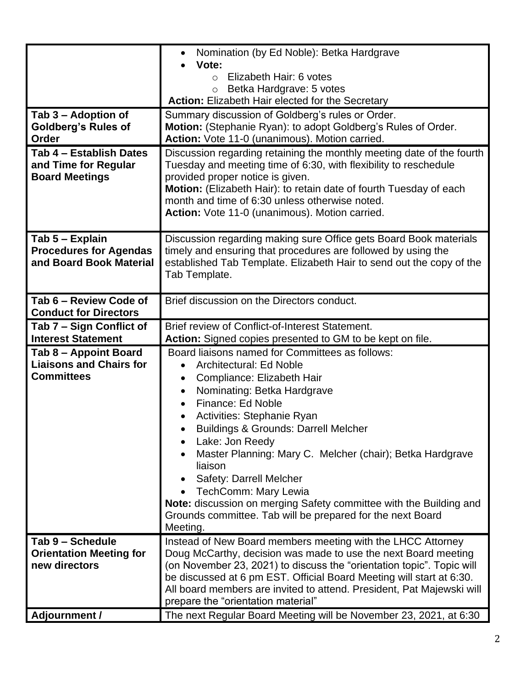| Tab 3 – Adoption of<br><b>Goldberg's Rules of</b><br>Order<br>Tab 4 - Establish Dates<br>and Time for Regular<br><b>Board Meetings</b> | Summary discussion of Goldberg's rules or Order.<br>Motion: (Stephanie Ryan): to adopt Goldberg's Rules of Order.<br>Action: Vote 11-0 (unanimous). Motion carried.<br>Discussion regarding retaining the monthly meeting date of the fourth<br>Tuesday and meeting time of 6:30, with flexibility to reschedule<br>provided proper notice is given.<br>Motion: (Elizabeth Hair): to retain date of fourth Tuesday of each<br>month and time of 6:30 unless otherwise noted.<br>Action: Vote 11-0 (unanimous). Motion carried.                                               |
|----------------------------------------------------------------------------------------------------------------------------------------|------------------------------------------------------------------------------------------------------------------------------------------------------------------------------------------------------------------------------------------------------------------------------------------------------------------------------------------------------------------------------------------------------------------------------------------------------------------------------------------------------------------------------------------------------------------------------|
| Tab 5 - Explain<br><b>Procedures for Agendas</b><br>and Board Book Material                                                            | Discussion regarding making sure Office gets Board Book materials<br>timely and ensuring that procedures are followed by using the<br>established Tab Template. Elizabeth Hair to send out the copy of the<br>Tab Template.                                                                                                                                                                                                                                                                                                                                                  |
| Tab 6 - Review Code of<br><b>Conduct for Directors</b>                                                                                 | Brief discussion on the Directors conduct.                                                                                                                                                                                                                                                                                                                                                                                                                                                                                                                                   |
| Tab 7 – Sign Conflict of<br><b>Interest Statement</b>                                                                                  | Brief review of Conflict-of-Interest Statement.<br>Action: Signed copies presented to GM to be kept on file.                                                                                                                                                                                                                                                                                                                                                                                                                                                                 |
| Tab 8 – Appoint Board<br><b>Liaisons and Chairs for</b><br><b>Committees</b>                                                           | Board liaisons named for Committees as follows:<br><b>Architectural: Ed Noble</b><br>Compliance: Elizabeth Hair<br>Nominating: Betka Hardgrave<br>$\bullet$<br>Finance: Ed Noble<br>$\bullet$<br>Activities: Stephanie Ryan<br><b>Buildings &amp; Grounds: Darrell Melcher</b><br>Lake: Jon Reedy<br>Master Planning: Mary C. Melcher (chair); Betka Hardgrave<br>liaison<br>Safety: Darrell Melcher<br>TechComm: Mary Lewia<br>Note: discussion on merging Safety committee with the Building and<br>Grounds committee. Tab will be prepared for the next Board<br>Meeting. |
| Tab 9 - Schedule<br><b>Orientation Meeting for</b><br>new directors<br>Adjournment /                                                   | Instead of New Board members meeting with the LHCC Attorney<br>Doug McCarthy, decision was made to use the next Board meeting<br>(on November 23, 2021) to discuss the "orientation topic". Topic will<br>be discussed at 6 pm EST. Official Board Meeting will start at 6:30.<br>All board members are invited to attend. President, Pat Majewski will<br>prepare the "orientation material"<br>The next Regular Board Meeting will be November 23, 2021, at 6:30                                                                                                           |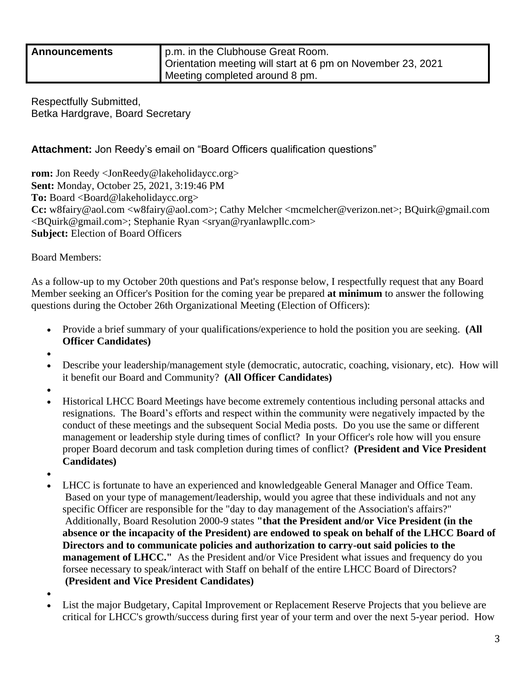| <b>Announcements</b> | p.m. in the Clubhouse Great Room.                           |
|----------------------|-------------------------------------------------------------|
|                      | Orientation meeting will start at 6 pm on November 23, 2021 |
|                      | Meeting completed around 8 pm.                              |

Respectfully Submitted, Betka Hardgrave, Board Secretary

## **Attachment:** Jon Reedy's email on "Board Officers qualification questions"

**rom:** Jon Reedy <JonReedy@lakeholidaycc.org> **Sent:** Monday, October 25, 2021, 3:19:46 PM To: Board <Board@lakeholidaycc.org> **Cc:** w8fairy@aol.com <w8fairy@aol.com>; Cathy Melcher <mcmelcher@verizon.net>; BQuirk@gmail.com <BQuirk@gmail.com>; Stephanie Ryan <sryan@ryanlawpllc.com> **Subject:** Election of Board Officers

Board Members:

As a follow-up to my October 20th questions and Pat's response below, I respectfully request that any Board Member seeking an Officer's Position for the coming year be prepared **at minimum** to answer the following questions during the October 26th Organizational Meeting (Election of Officers):

- Provide a brief summary of your qualifications/experience to hold the position you are seeking. **(All Officer Candidates)**
- •
- Describe your leadership/management style (democratic, autocratic, coaching, visionary, etc). How will it benefit our Board and Community? **(All Officer Candidates)**
- •
- Historical LHCC Board Meetings have become extremely contentious including personal attacks and resignations. The Board's efforts and respect within the community were negatively impacted by the conduct of these meetings and the subsequent Social Media posts. Do you use the same or different management or leadership style during times of conflict? In your Officer's role how will you ensure proper Board decorum and task completion during times of conflict? **(President and Vice President Candidates)**
- •
- LHCC is fortunate to have an experienced and knowledgeable General Manager and Office Team. Based on your type of management/leadership, would you agree that these individuals and not any specific Officer are responsible for the "day to day management of the Association's affairs?" Additionally, Board Resolution 2000-9 states **"that the President and/or Vice President (in the absence or the incapacity of the President) are endowed to speak on behalf of the LHCC Board of Directors and to communicate policies and authorization to carry-out said policies to the management of LHCC."** As the President and/or Vice President what issues and frequency do you forsee necessary to speak/interact with Staff on behalf of the entire LHCC Board of Directors? **(President and Vice President Candidates)**
- •
- List the major Budgetary, Capital Improvement or Replacement Reserve Projects that you believe are critical for LHCC's growth/success during first year of your term and over the next 5-year period. How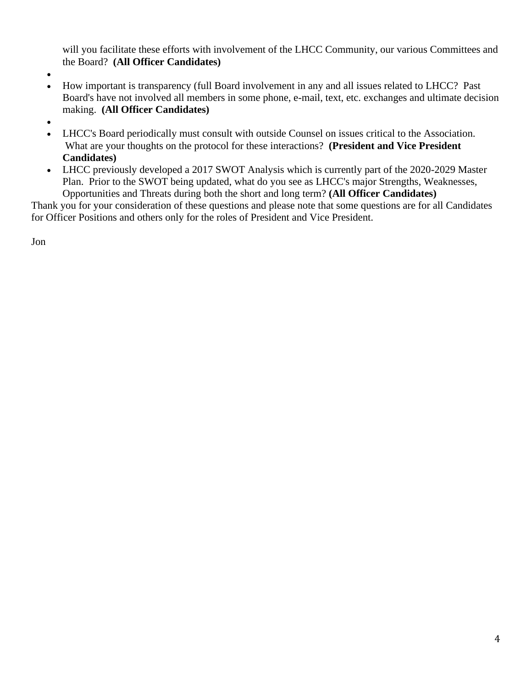will you facilitate these efforts with involvement of the LHCC Community, our various Committees and the Board? **(All Officer Candidates)**

- •
- How important is transparency (full Board involvement in any and all issues related to LHCC? Past Board's have not involved all members in some phone, e-mail, text, etc. exchanges and ultimate decision making. **(All Officer Candidates)**
- •
- LHCC's Board periodically must consult with outside Counsel on issues critical to the Association. What are your thoughts on the protocol for these interactions? **(President and Vice President Candidates)**
- LHCC previously developed a 2017 SWOT Analysis which is currently part of the 2020-2029 Master Plan. Prior to the SWOT being updated, what do you see as LHCC's major Strengths, Weaknesses, Opportunities and Threats during both the short and long term? **(All Officer Candidates)**

Thank you for your consideration of these questions and please note that some questions are for all Candidates for Officer Positions and others only for the roles of President and Vice President.

Jon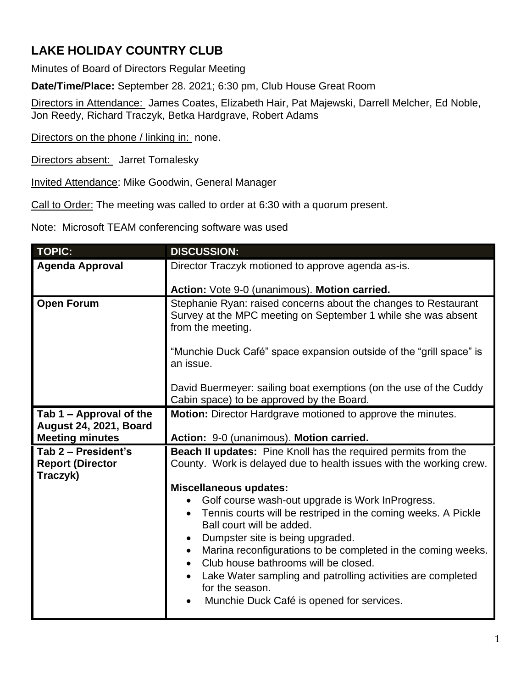## **LAKE HOLIDAY COUNTRY CLUB**

Minutes of Board of Directors Regular Meeting

**Date/Time/Place:** September 28. 2021; 6:30 pm, Club House Great Room

Directors in Attendance: James Coates, Elizabeth Hair, Pat Majewski, Darrell Melcher, Ed Noble, Jon Reedy, Richard Traczyk, Betka Hardgrave, Robert Adams

Directors on the phone / linking in: none.

Directors absent: Jarret Tomalesky

Invited Attendance: Mike Goodwin, General Manager

Call to Order: The meeting was called to order at 6:30 with a quorum present.

Note: Microsoft TEAM conferencing software was used

| <b>TOPIC:</b>                                              | <b>DISCUSSION:</b>                                                                                                                                                                                                                                                                        |
|------------------------------------------------------------|-------------------------------------------------------------------------------------------------------------------------------------------------------------------------------------------------------------------------------------------------------------------------------------------|
| <b>Agenda Approval</b>                                     | Director Traczyk motioned to approve agenda as-is.                                                                                                                                                                                                                                        |
|                                                            | Action: Vote 9-0 (unanimous). Motion carried.                                                                                                                                                                                                                                             |
| <b>Open Forum</b>                                          | Stephanie Ryan: raised concerns about the changes to Restaurant<br>Survey at the MPC meeting on September 1 while she was absent<br>from the meeting.                                                                                                                                     |
|                                                            | "Munchie Duck Café" space expansion outside of the "grill space" is<br>an issue.                                                                                                                                                                                                          |
|                                                            | David Buermeyer: sailing boat exemptions (on the use of the Cuddy<br>Cabin space) to be approved by the Board.                                                                                                                                                                            |
| Tab 1 - Approval of the                                    | Motion: Director Hardgrave motioned to approve the minutes.                                                                                                                                                                                                                               |
| <b>August 24, 2021, Board</b><br><b>Meeting minutes</b>    | Action: 9-0 (unanimous). Motion carried.                                                                                                                                                                                                                                                  |
| Tab 2 - President's<br><b>Report (Director</b><br>Traczyk) | <b>Beach II updates:</b> Pine Knoll has the required permits from the<br>County. Work is delayed due to health issues with the working crew.                                                                                                                                              |
|                                                            | <b>Miscellaneous updates:</b>                                                                                                                                                                                                                                                             |
|                                                            | Golf course wash-out upgrade is Work InProgress.<br>$\bullet$<br>Tennis courts will be restriped in the coming weeks. A Pickle<br>$\bullet$<br>Ball court will be added.<br>Dumpster site is being upgraded.<br>Marina reconfigurations to be completed in the coming weeks.<br>$\bullet$ |
|                                                            | Club house bathrooms will be closed.<br>Lake Water sampling and patrolling activities are completed<br>for the season.<br>Munchie Duck Café is opened for services.                                                                                                                       |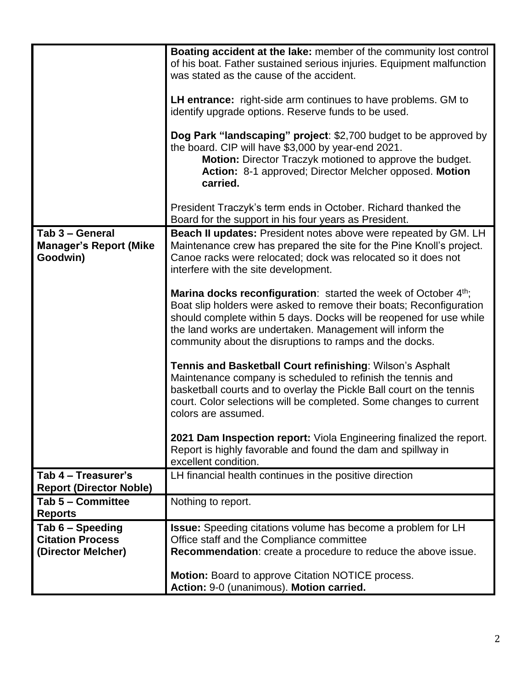|                                                                   | <b>Boating accident at the lake:</b> member of the community lost control<br>of his boat. Father sustained serious injuries. Equipment malfunction<br>was stated as the cause of the accident.<br><b>LH entrance:</b> right-side arm continues to have problems. GM to<br>identify upgrade options. Reserve funds to be used.<br><b>Dog Park "landscaping" project: \$2,700 budget to be approved by</b><br>the board. CIP will have \$3,000 by year-end 2021.<br>Motion: Director Traczyk motioned to approve the budget. |
|-------------------------------------------------------------------|----------------------------------------------------------------------------------------------------------------------------------------------------------------------------------------------------------------------------------------------------------------------------------------------------------------------------------------------------------------------------------------------------------------------------------------------------------------------------------------------------------------------------|
|                                                                   | Action: 8-1 approved; Director Melcher opposed. Motion<br>carried.<br>President Traczyk's term ends in October. Richard thanked the                                                                                                                                                                                                                                                                                                                                                                                        |
|                                                                   | Board for the support in his four years as President.                                                                                                                                                                                                                                                                                                                                                                                                                                                                      |
| Tab 3 - General<br><b>Manager's Report (Mike</b><br>Goodwin)      | <b>Beach II updates:</b> President notes above were repeated by GM. LH<br>Maintenance crew has prepared the site for the Pine Knoll's project.<br>Canoe racks were relocated; dock was relocated so it does not<br>interfere with the site development.                                                                                                                                                                                                                                                                    |
|                                                                   | Marina docks reconfiguration: started the week of October 4th;<br>Boat slip holders were asked to remove their boats; Reconfiguration<br>should complete within 5 days. Docks will be reopened for use while<br>the land works are undertaken. Management will inform the<br>community about the disruptions to ramps and the docks.                                                                                                                                                                                       |
|                                                                   | Tennis and Basketball Court refinishing: Wilson's Asphalt<br>Maintenance company is scheduled to refinish the tennis and<br>basketball courts and to overlay the Pickle Ball court on the tennis<br>court. Color selections will be completed. Some changes to current<br>colors are assumed.                                                                                                                                                                                                                              |
|                                                                   | 2021 Dam Inspection report: Viola Engineering finalized the report.<br>Report is highly favorable and found the dam and spillway in<br>excellent condition.                                                                                                                                                                                                                                                                                                                                                                |
| Tab 4 - Treasurer's                                               | LH financial health continues in the positive direction                                                                                                                                                                                                                                                                                                                                                                                                                                                                    |
| <b>Report (Director Noble)</b><br>Tab 5 - Committee               | Nothing to report.                                                                                                                                                                                                                                                                                                                                                                                                                                                                                                         |
| <b>Reports</b>                                                    |                                                                                                                                                                                                                                                                                                                                                                                                                                                                                                                            |
| Tab 6 - Speeding<br><b>Citation Process</b><br>(Director Melcher) | <b>Issue:</b> Speeding citations volume has become a problem for LH<br>Office staff and the Compliance committee<br>Recommendation: create a procedure to reduce the above issue.                                                                                                                                                                                                                                                                                                                                          |
|                                                                   | <b>Motion:</b> Board to approve Citation NOTICE process.<br>Action: 9-0 (unanimous). Motion carried.                                                                                                                                                                                                                                                                                                                                                                                                                       |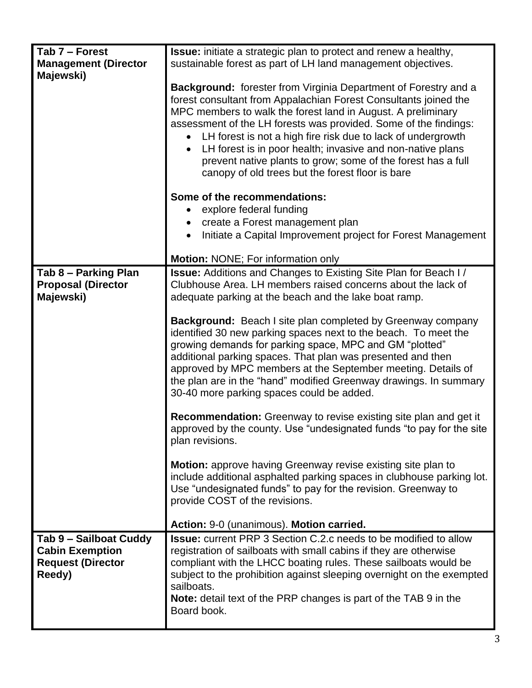| Tab 7 - Forest              | <b>Issue:</b> initiate a strategic plan to protect and renew a healthy, |
|-----------------------------|-------------------------------------------------------------------------|
| <b>Management (Director</b> | sustainable forest as part of LH land management objectives.            |
| Majewski)                   |                                                                         |
|                             | <b>Background:</b> forester from Virginia Department of Forestry and a  |
|                             | forest consultant from Appalachian Forest Consultants joined the        |
|                             | MPC members to walk the forest land in August. A preliminary            |
|                             |                                                                         |
|                             | assessment of the LH forests was provided. Some of the findings:        |
|                             | LH forest is not a high fire risk due to lack of undergrowth            |
|                             | LH forest is in poor health; invasive and non-native plans              |
|                             | prevent native plants to grow; some of the forest has a full            |
|                             | canopy of old trees but the forest floor is bare                        |
|                             |                                                                         |
|                             | Some of the recommendations:                                            |
|                             | explore federal funding                                                 |
|                             | create a Forest management plan                                         |
|                             | Initiate a Capital Improvement project for Forest Management            |
|                             |                                                                         |
|                             | <b>Motion: NONE; For information only</b>                               |
| Tab 8 - Parking Plan        | <b>Issue:</b> Additions and Changes to Existing Site Plan for Beach I/  |
| <b>Proposal (Director</b>   | Clubhouse Area. LH members raised concerns about the lack of            |
| Majewski)                   | adequate parking at the beach and the lake boat ramp.                   |
|                             |                                                                         |
|                             | <b>Background:</b> Beach I site plan completed by Greenway company      |
|                             | identified 30 new parking spaces next to the beach. To meet the         |
|                             | growing demands for parking space, MPC and GM "plotted"                 |
|                             | additional parking spaces. That plan was presented and then             |
|                             | approved by MPC members at the September meeting. Details of            |
|                             |                                                                         |
|                             | the plan are in the "hand" modified Greenway drawings. In summary       |
|                             | 30-40 more parking spaces could be added.                               |
|                             | <b>Recommendation:</b> Greenway to revise existing site plan and get it |
|                             | approved by the county. Use "undesignated funds "to pay for the site    |
|                             | plan revisions.                                                         |
|                             |                                                                         |
|                             | <b>Motion:</b> approve having Greenway revise existing site plan to     |
|                             | include additional asphalted parking spaces in clubhouse parking lot.   |
|                             | Use "undesignated funds" to pay for the revision. Greenway to           |
|                             | provide COST of the revisions.                                          |
|                             |                                                                         |
|                             | Action: 9-0 (unanimous). Motion carried.                                |
| Tab 9 - Sailboat Cuddy      | <b>Issue:</b> current PRP 3 Section C.2.c needs to be modified to allow |
| <b>Cabin Exemption</b>      | registration of sailboats with small cabins if they are otherwise       |
| <b>Request (Director</b>    | compliant with the LHCC boating rules. These sailboats would be         |
| Reedy)                      | subject to the prohibition against sleeping overnight on the exempted   |
|                             | sailboats.                                                              |
|                             | <b>Note:</b> detail text of the PRP changes is part of the TAB 9 in the |
|                             | Board book.                                                             |
|                             |                                                                         |
|                             |                                                                         |